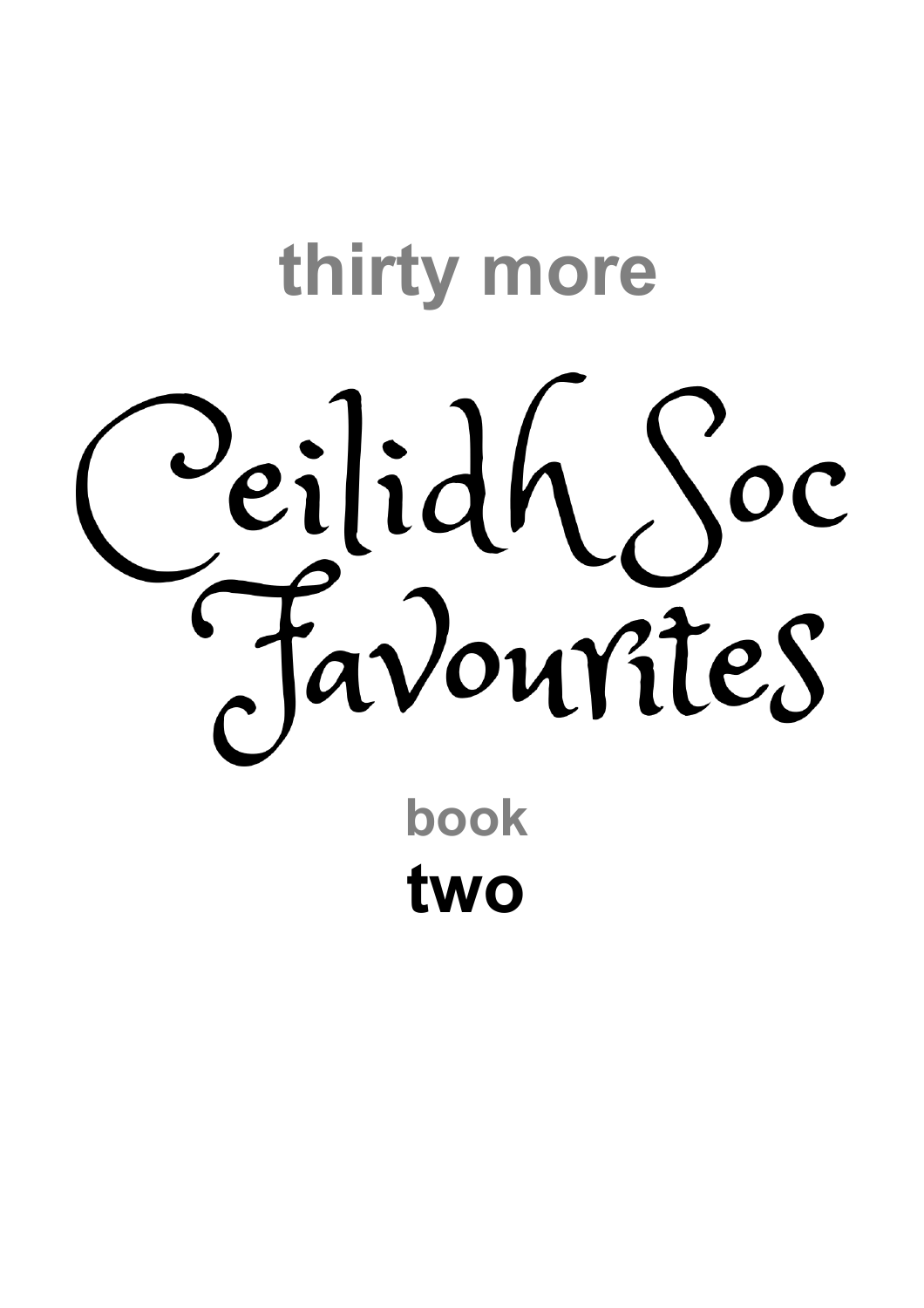# **thirty more** Seilidh Soc **book**

**two**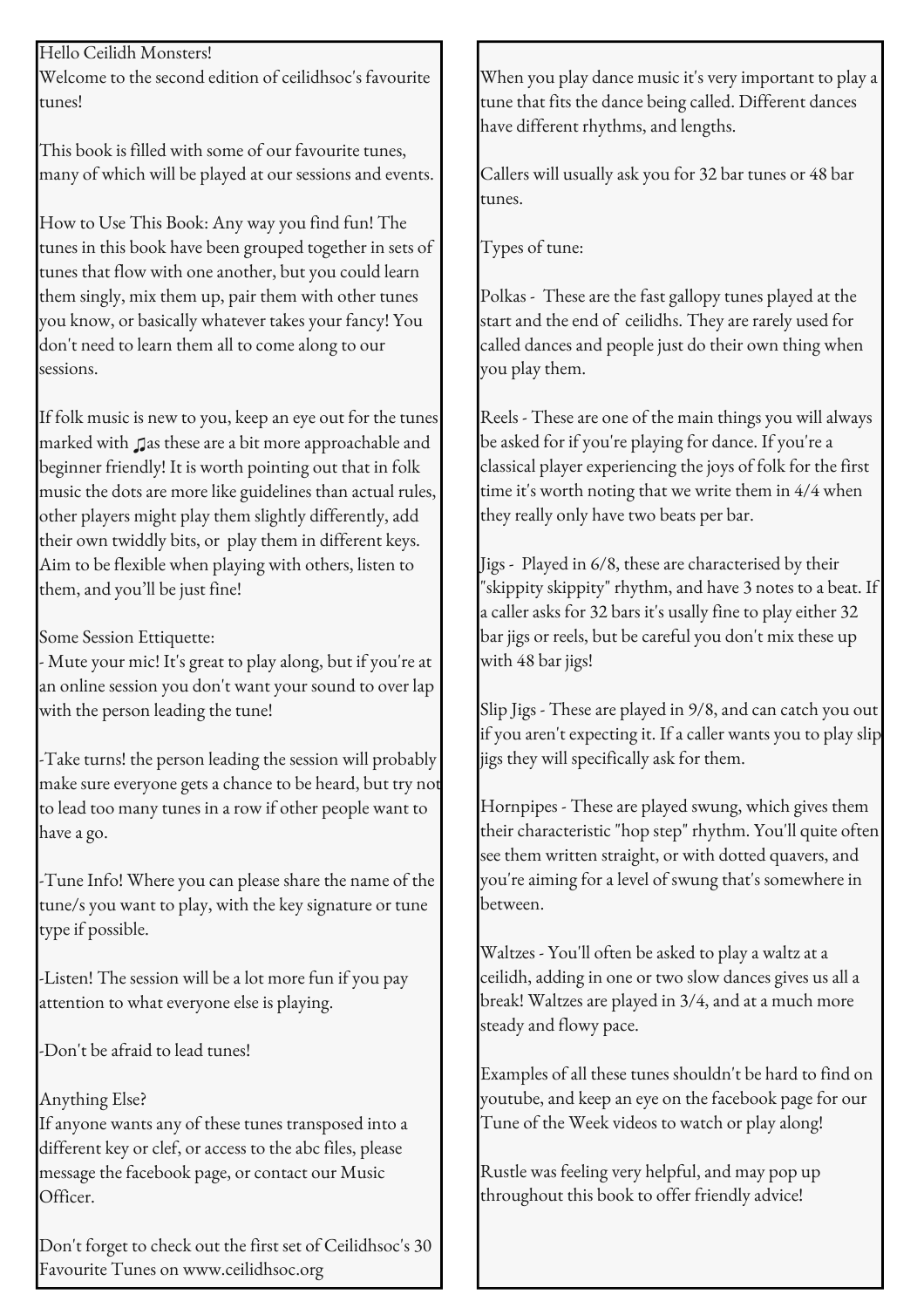## Hello Ceilidh Monsters!

Welcome to the second edition of ceilidhsoc's favourite tunes!

This book is filled with some of our favourite tunes, many of which will be played at our sessions and events.

How to Use This Book: Any way you find fun! The tunes in this book have been grouped together in sets of tunes that flow with one another, but you could learn them singly, mix them up, pair them with other tunes you know, or basically whatever takes your fancy! You don't need to learn them all to come along to our sessions.

If folk music is new to you, keep an eye out for the tunes marked with ♫as these are a bit more approachable and beginner friendly! It is worth pointing out that in folk music the dots are more like guidelines than actual rules, other players might play them slightly differently, add their own twiddly bits, or play them in different keys. Aim to be flexible when playing with others, listen to them, and you'll be just fine!

Some Session Ettiquette:

- Mute your mic! It's great to play along, but if you're at an online session you don't want your sound to over lap with the person leading the tune!

-Take turns! the person leading the session will probably make sure everyone gets a chance to be heard, but try not to lead too many tunes in a row if other people want to have a go.

-Tune Info! Where you can please share the name of the tune/s you want to play, with the key signature or tune type if possible.

-Listen! The session will be a lot more fun if you pay attention to what everyone else is playing.

-Don't be afraid to lead tunes!

# Anything Else?

If anyone wants any of these tunes transposed into a different key or clef, or access to the abc files, please message the facebook page, or contact our Music Officer.

Don't forget to check out the first set of Ceilidhsoc's 30 Favourite Tunes on www.ceilidhsoc.org

When you play dance music it's very important to play a tune that fits the dance being called. Different dances have different rhythms, and lengths.

Callers will usually ask you for 32 bar tunes or 48 bar tunes.

Types of tune:

Polkas - These are the fast gallopy tunes played at the start and the end of ceilidhs. They are rarely used for called dances and people just do their own thing when you play them.

Reels - These are one of the main things you will always be asked for if you're playing for dance. If you're a classical player experiencing the joys of folk for the first time it's worth noting that we write them in 4/4 when they really only have two beats per bar.

Jigs - Played in 6/8, these are characterised by their "skippity skippity" rhythm, and have 3 notes to a beat. If a caller asks for 32 bars it's usally fine to play either 32 bar jigs or reels, but be careful you don't mix these up with 48 bar jigs!

Slip Jigs - These are played in 9/8, and can catch you out if you aren't expecting it. If a caller wants you to play slip jigs they will specifically ask for them.

Hornpipes - These are played swung, which gives them their characteristic "hop step" rhythm. You'll quite often see them written straight, or with dotted quavers, and you're aiming for a level of swung that's somewhere in between.

Waltzes - You'll often be asked to play a waltz at a ceilidh, adding in one or two slow dances gives us all a break! Waltzes are played in 3/4, and at a much more steady and flowy pace.

Examples of all these tunes shouldn't be hard to find on youtube, and keep an eye on the facebook page for our Tune of the Week videos to watch or play along!

Rustle was feeling very helpful, and may pop up throughout this book to offer friendly advice!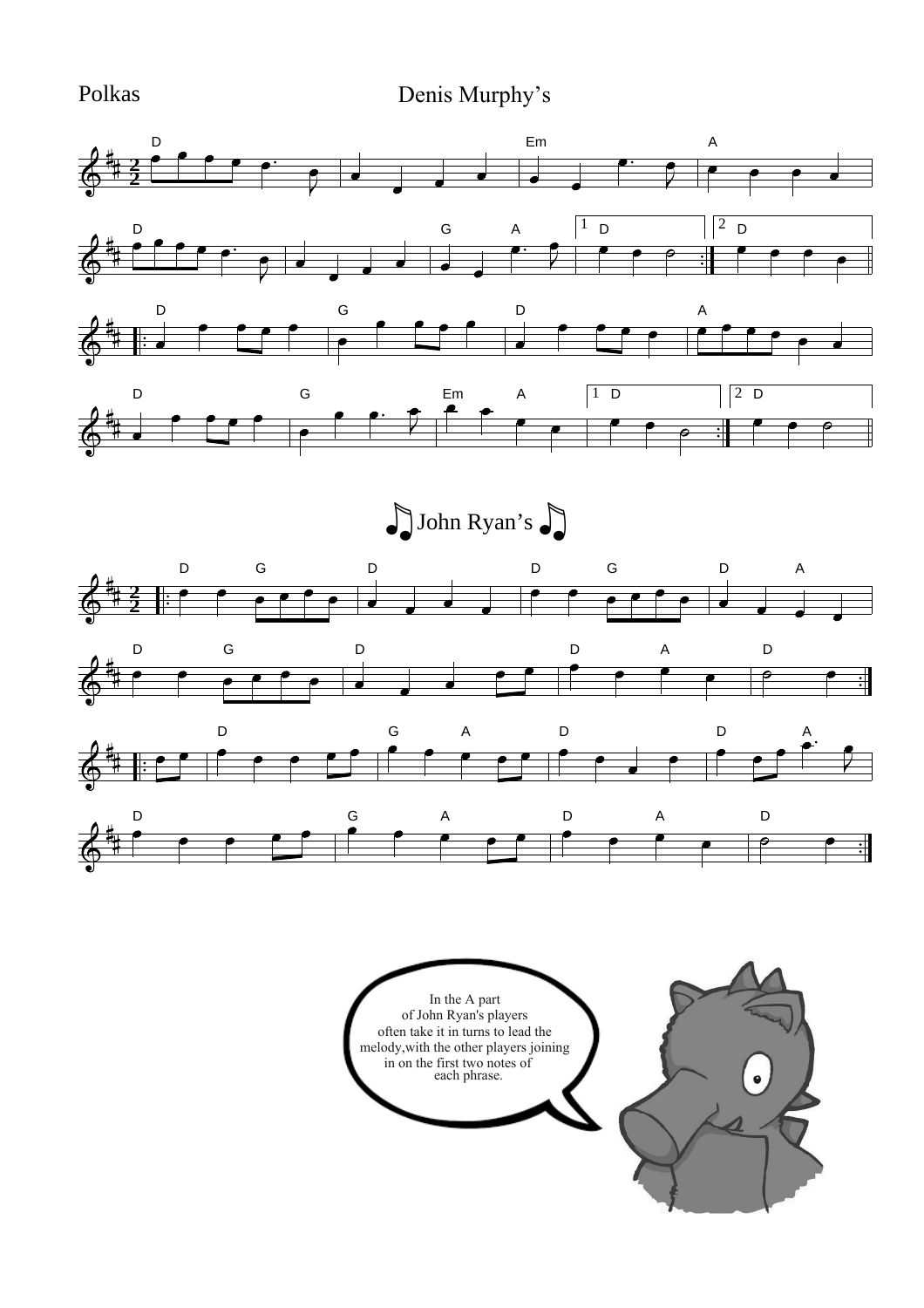Polkas Denis Murphy's Denis Murphy's



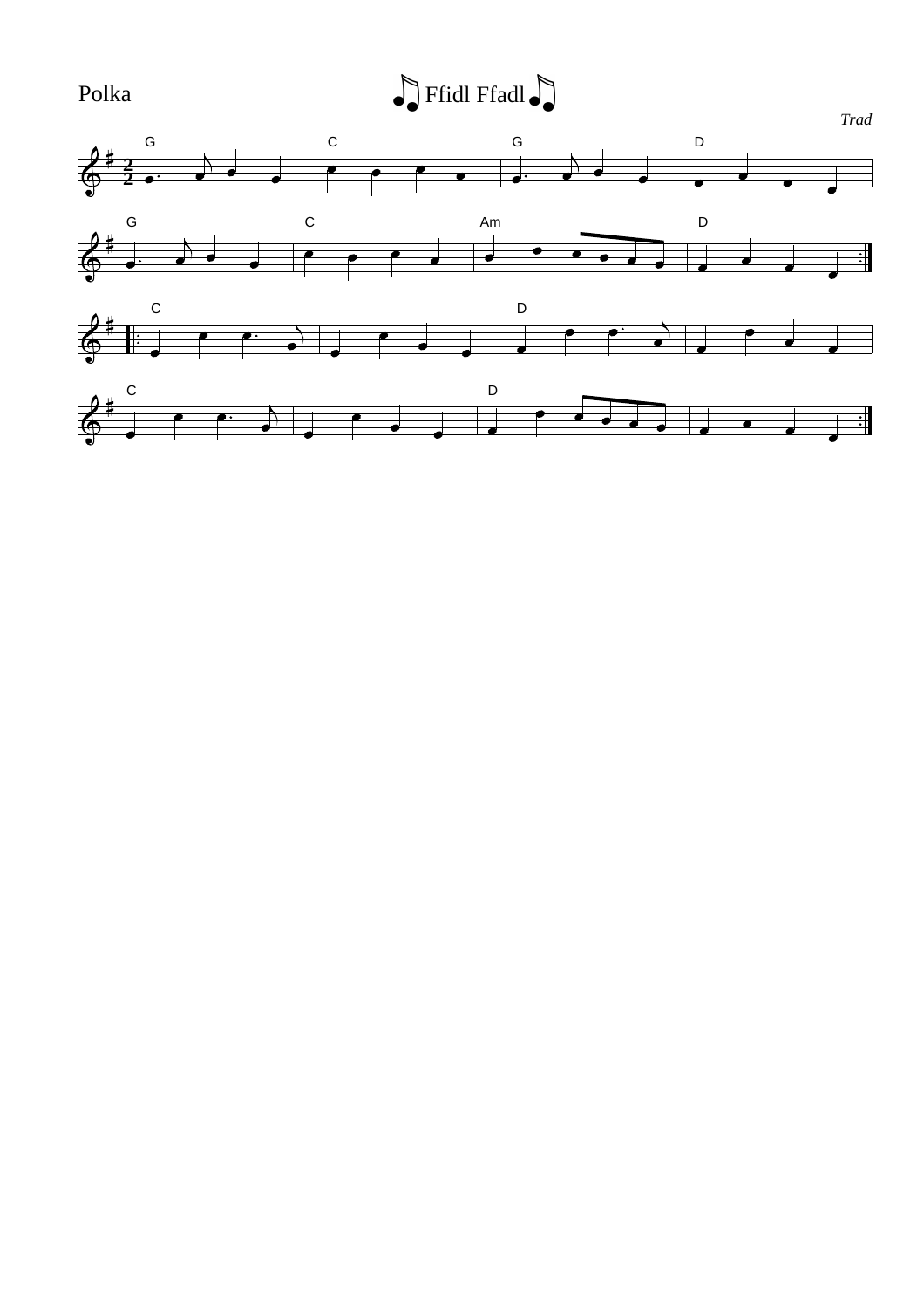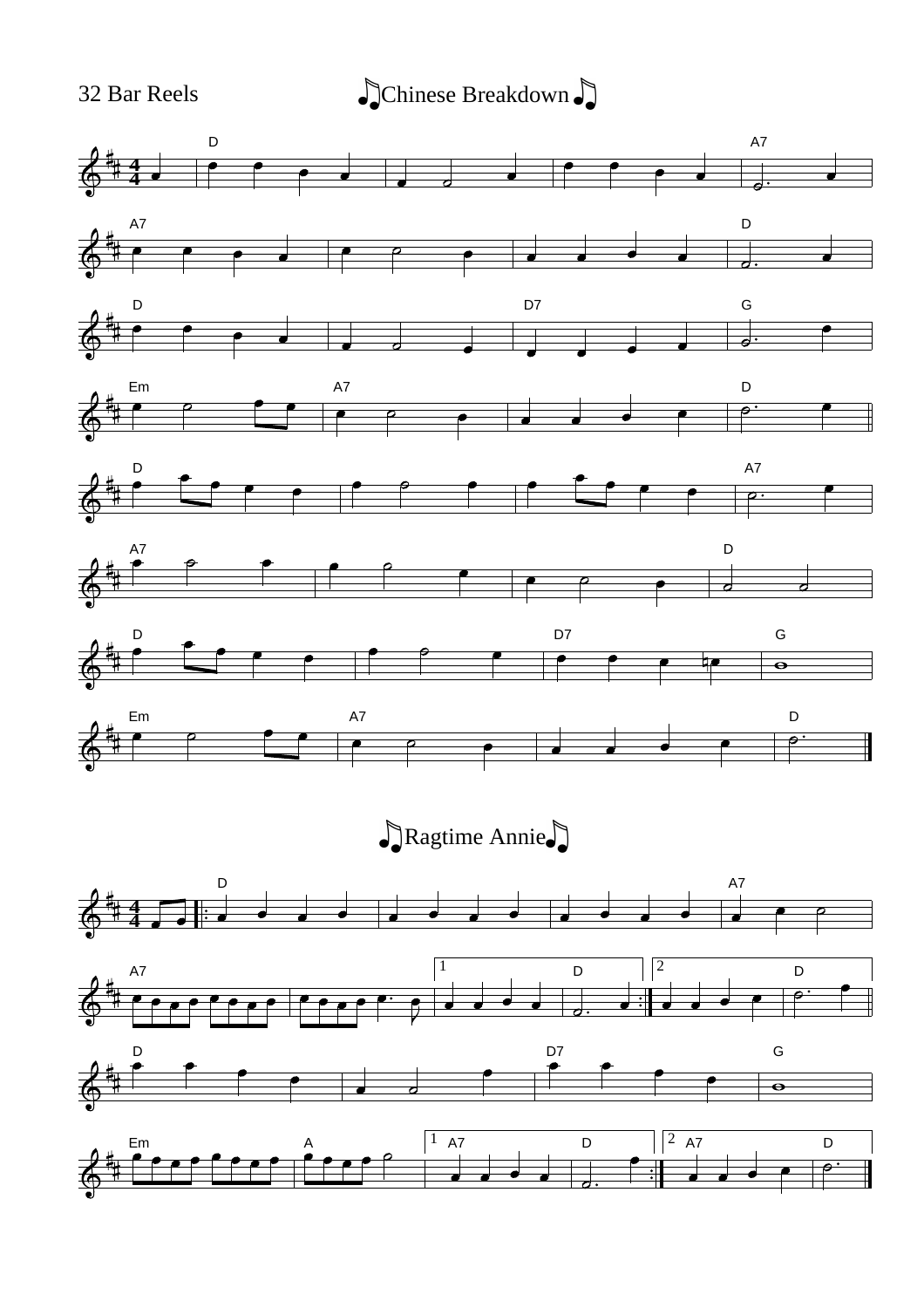32 Bar Reels  $\bigcup$ Chinese Breakdown  $\bigcup$ 

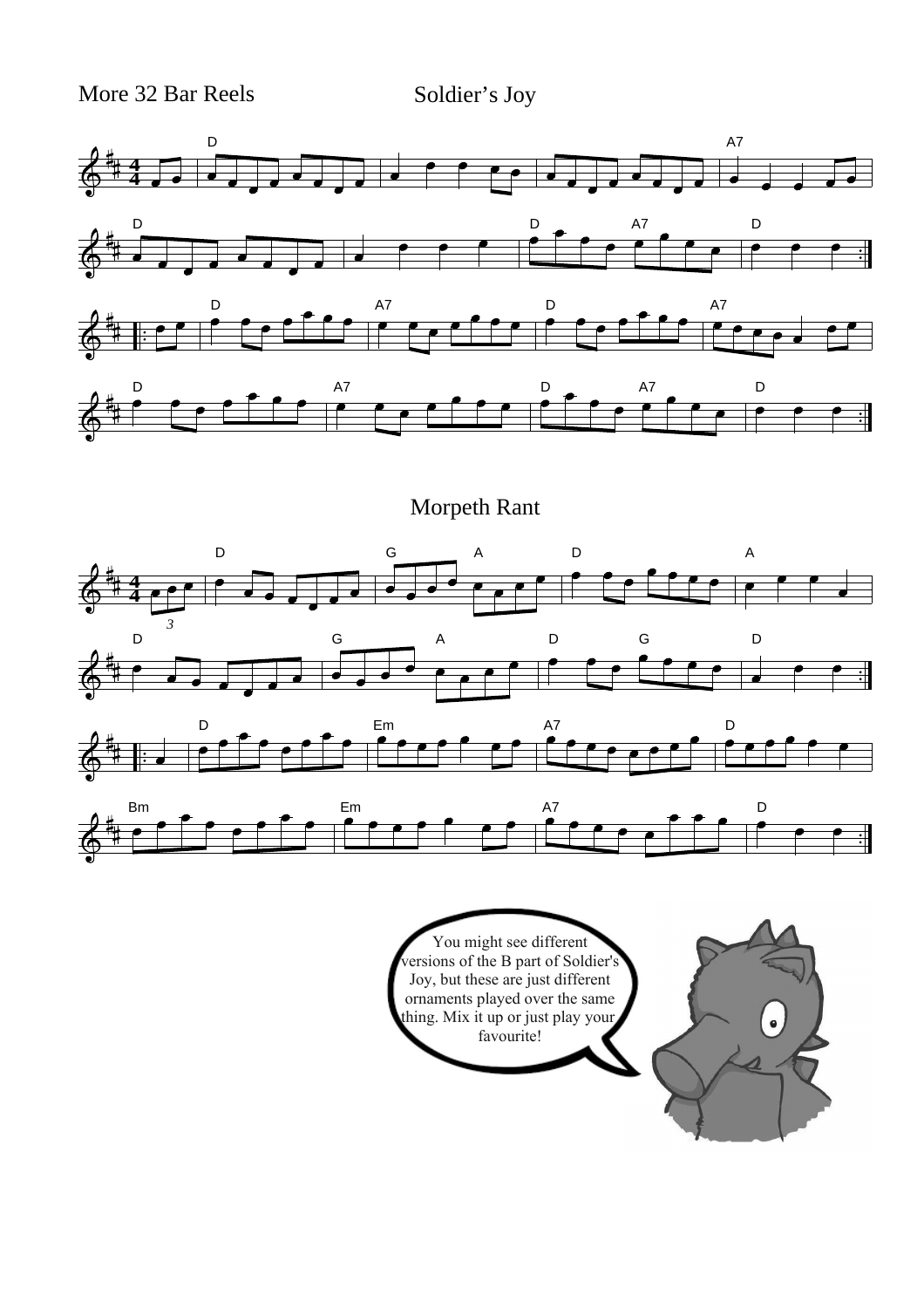More 32 Bar Reels Soldier's Joy



Morpeth Rant



You might see different versions of the B part of Soldier's Joy, but these are just different ornaments played over the same thing. Mix it up or just play your favourite!

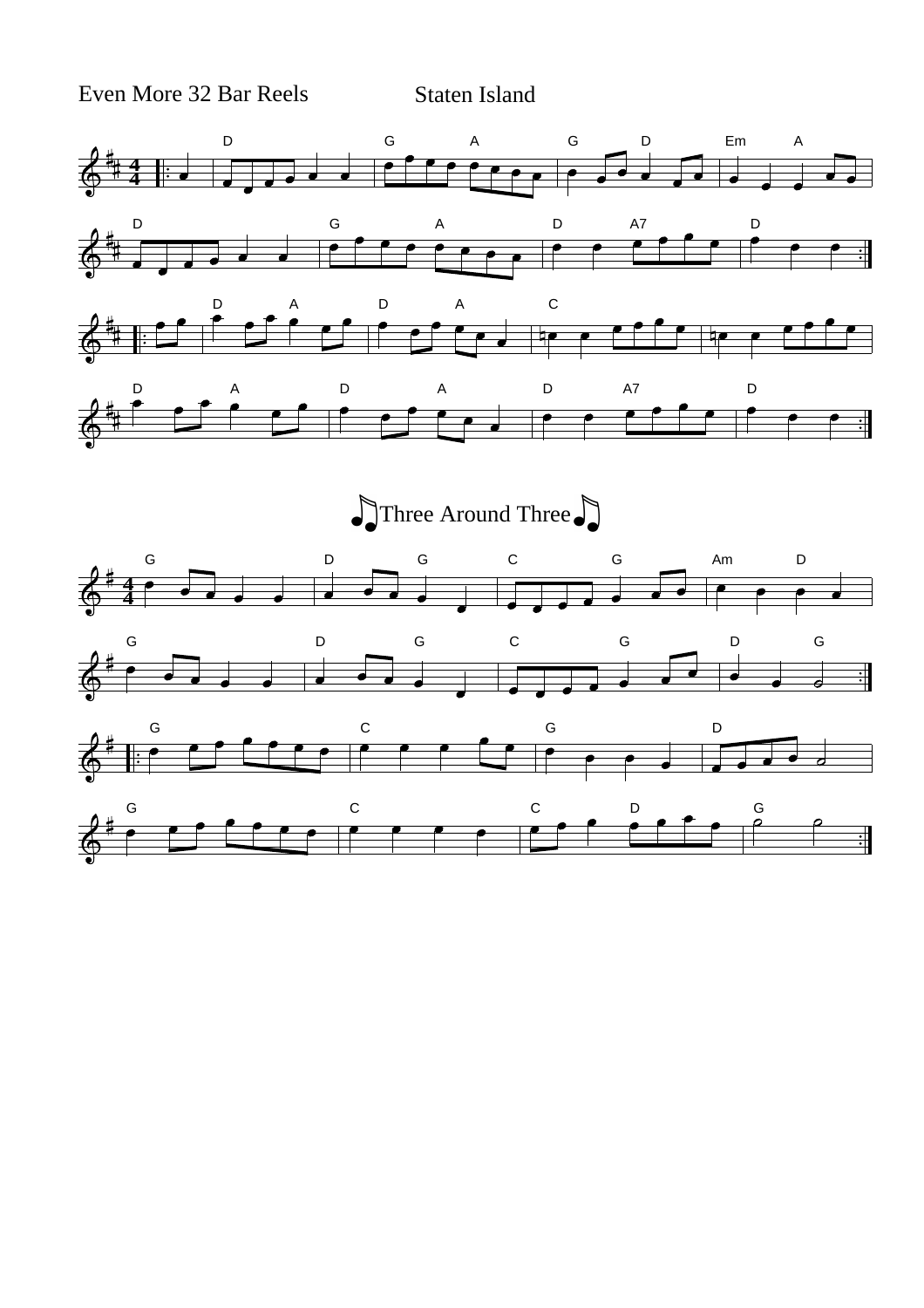Even More 32 Bar Reels Staten Island

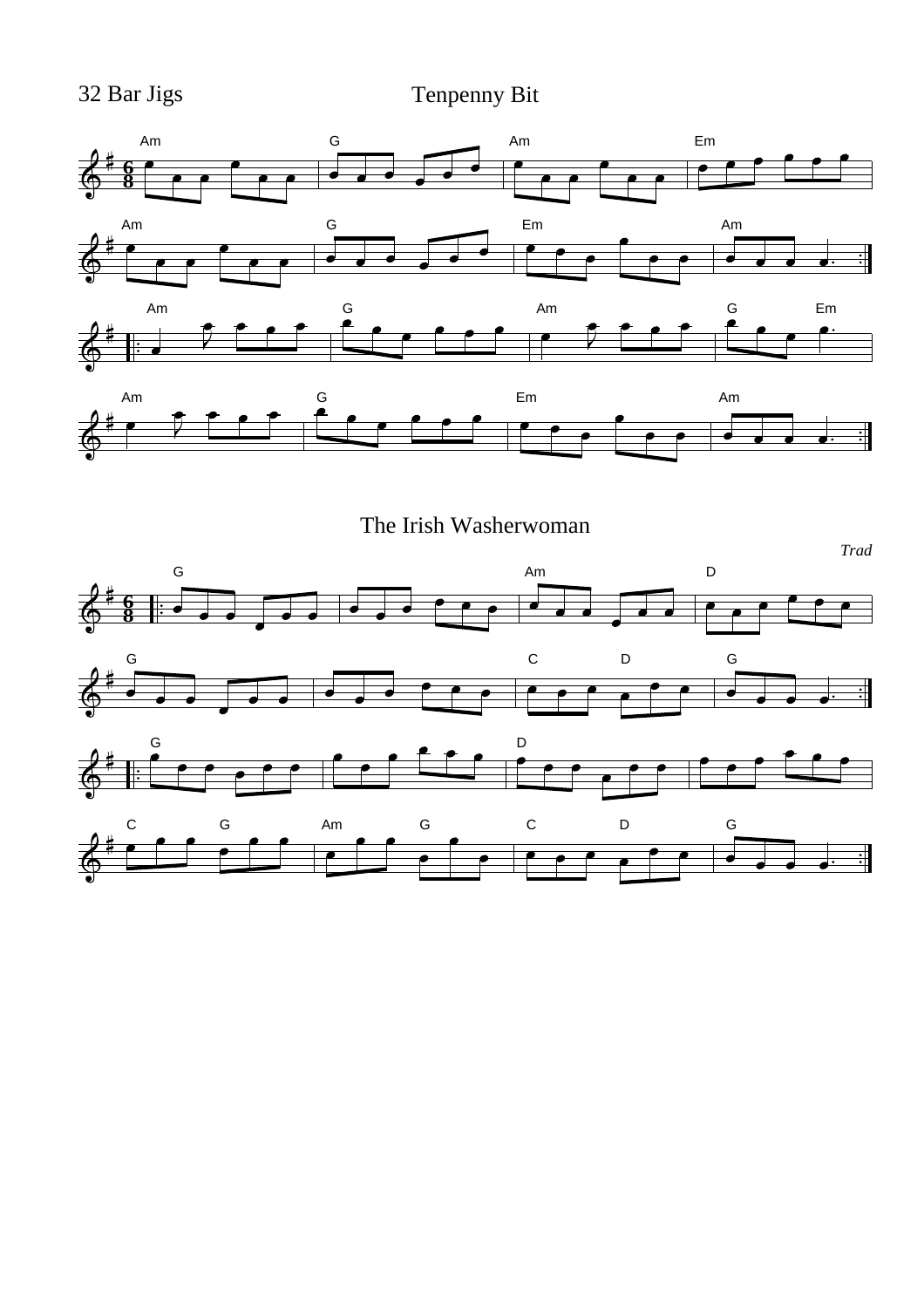32 Bar Jigs Tenpenny Bit



The Irish Washerwoman

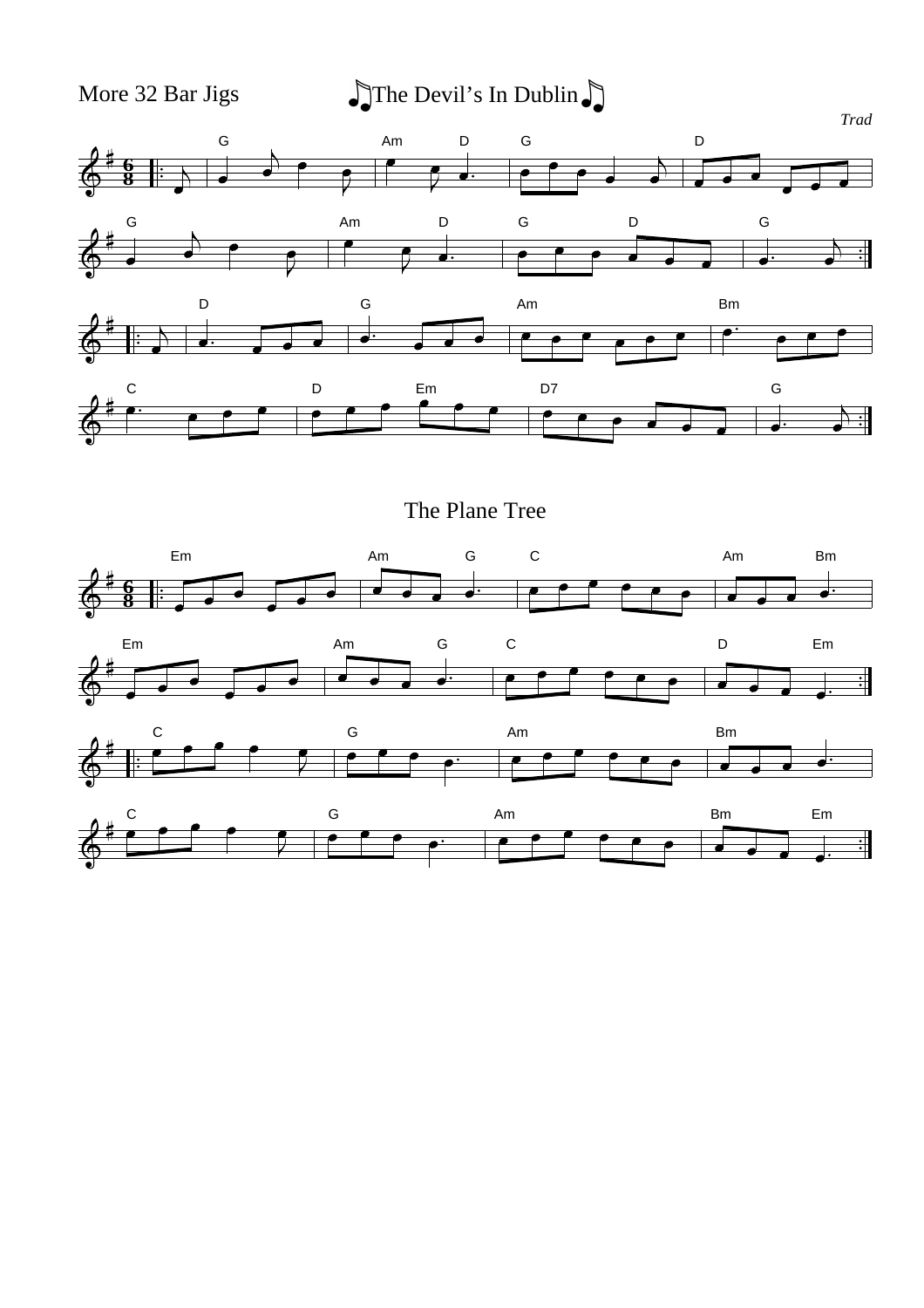More 32 Bar Jigs  $\int \int \text{The Devil's In Dublin}$ 



The Plane Tree

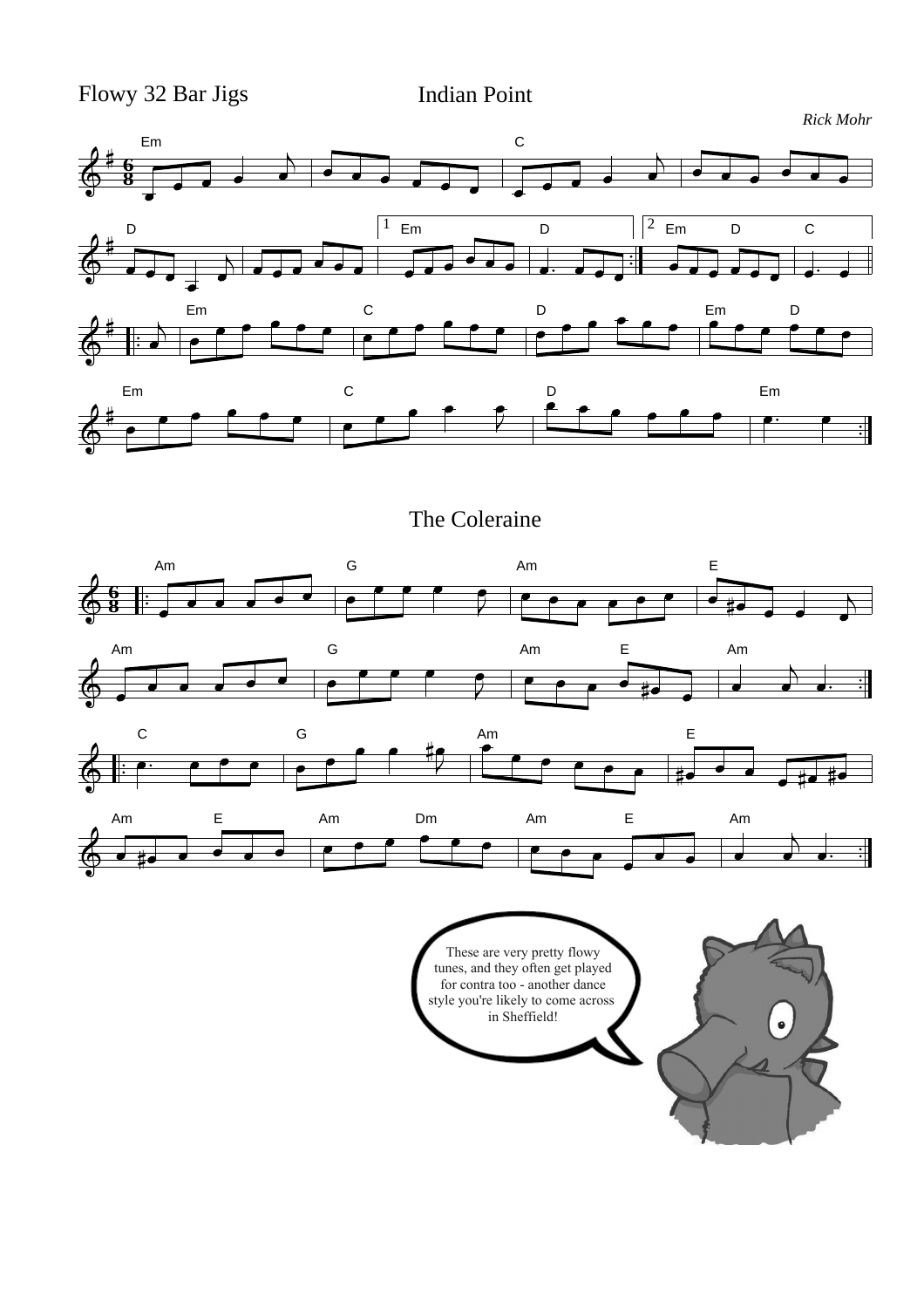Flowy 32 Bar Jigs Indian Point



The Coleraine



These are very pretty flowy tunes, and they often get played for contra too - another dance style you're likely to come across in Sheffield!

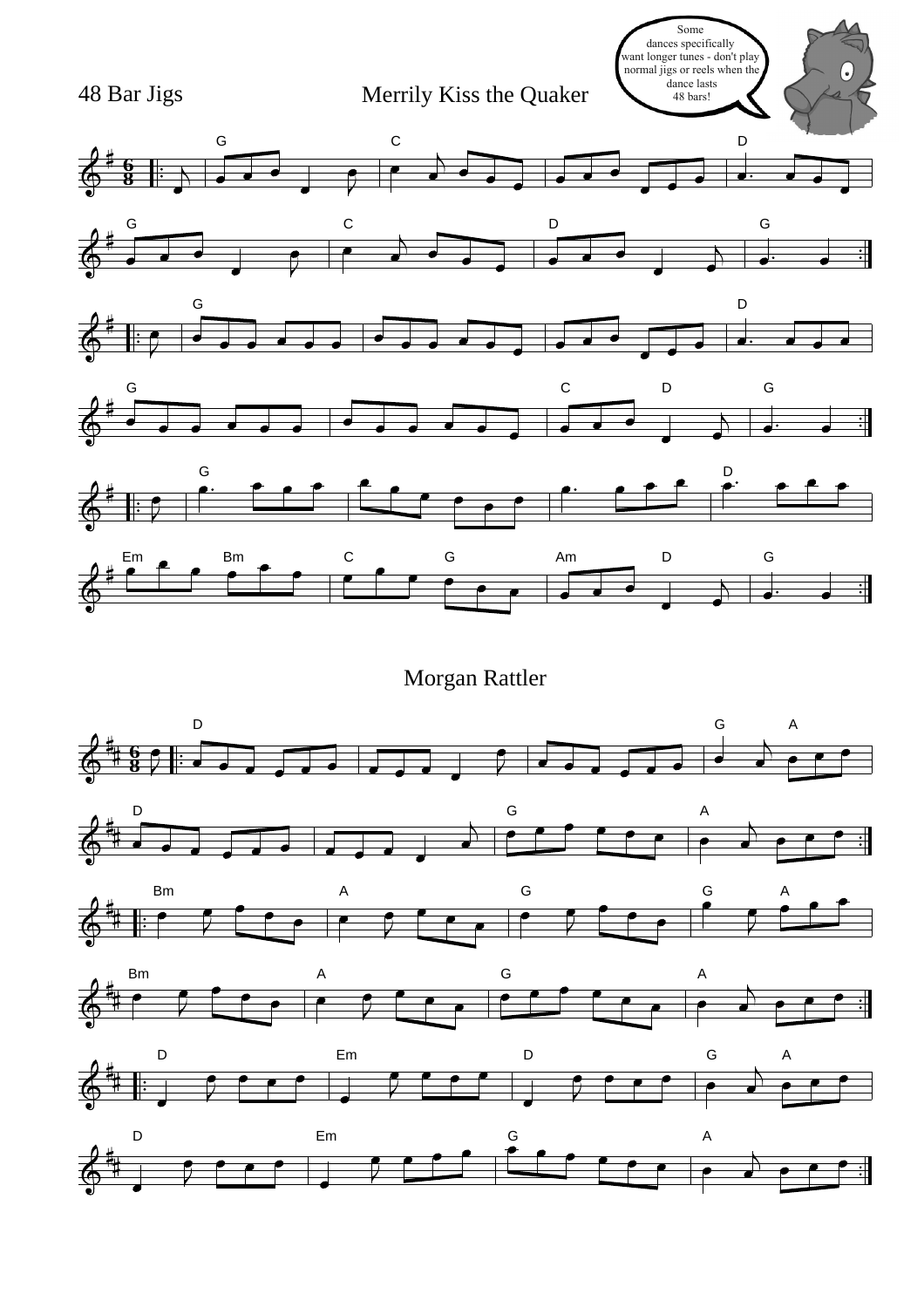

Morgan Rattler

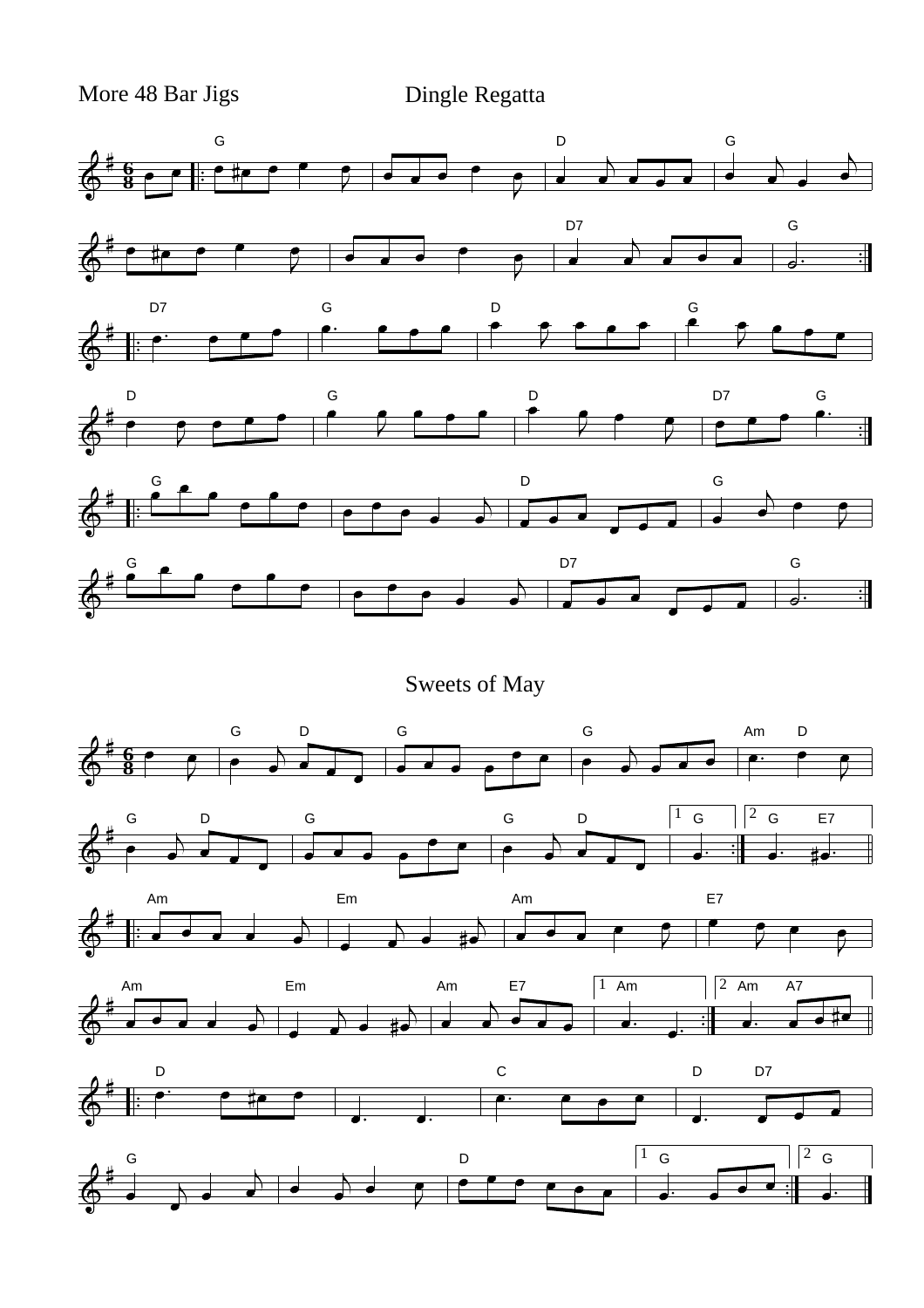More 48 Bar Jigs Dingle Regatta

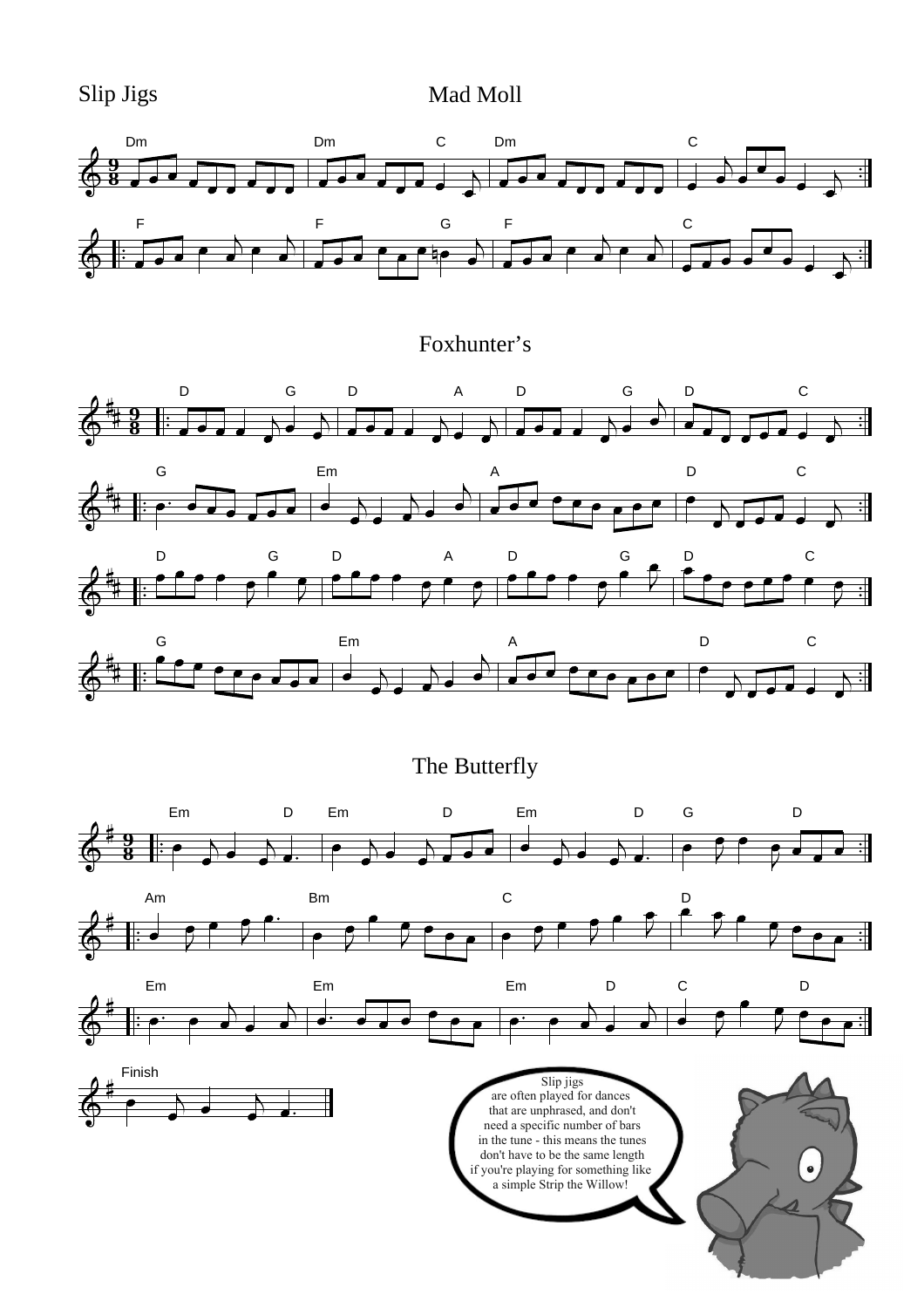Slip Jigs Mad Moll



# Foxhunter's



The Butterfly









are often played for dances that are unphrased, and don't need a specific number of bars in the tune - this means the tunes don't have to be the same length if you're playing for something like a simple Strip the Willow!

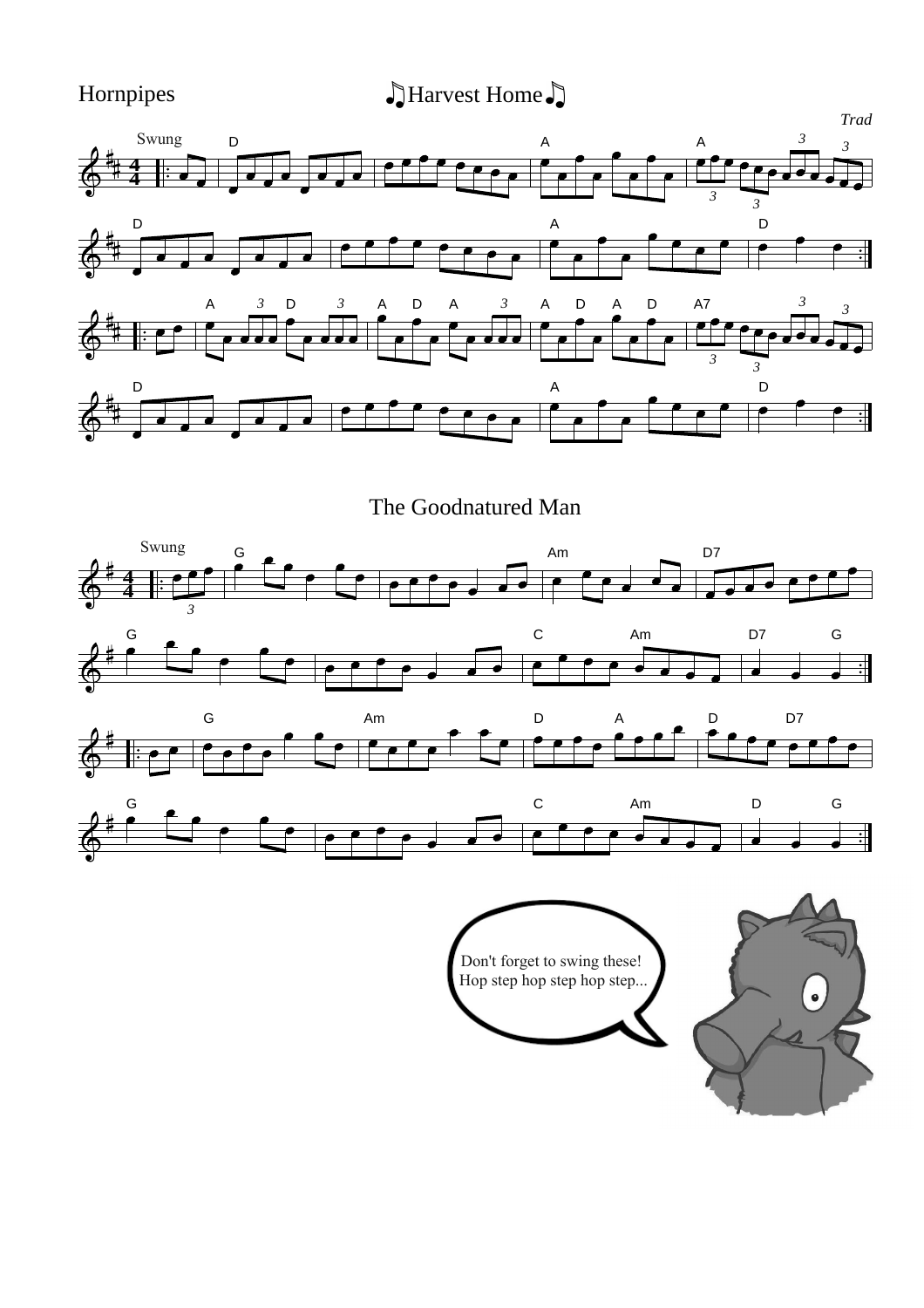Hornpipes and Allarvest Home  $\sum$ 



The Goodnatured Man



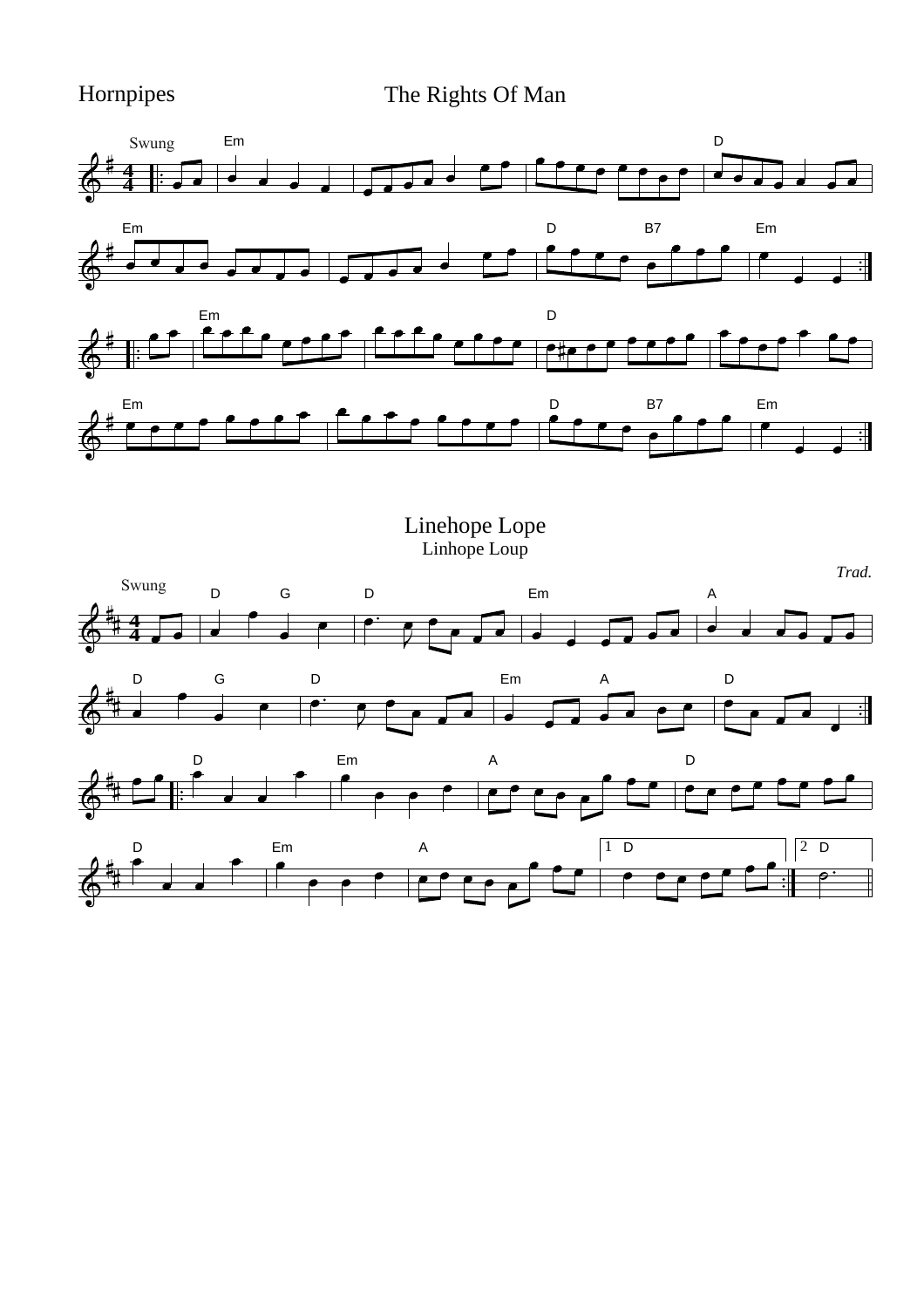Hornpipes The Rights Of Man



Linehope Lope Linhope Loup

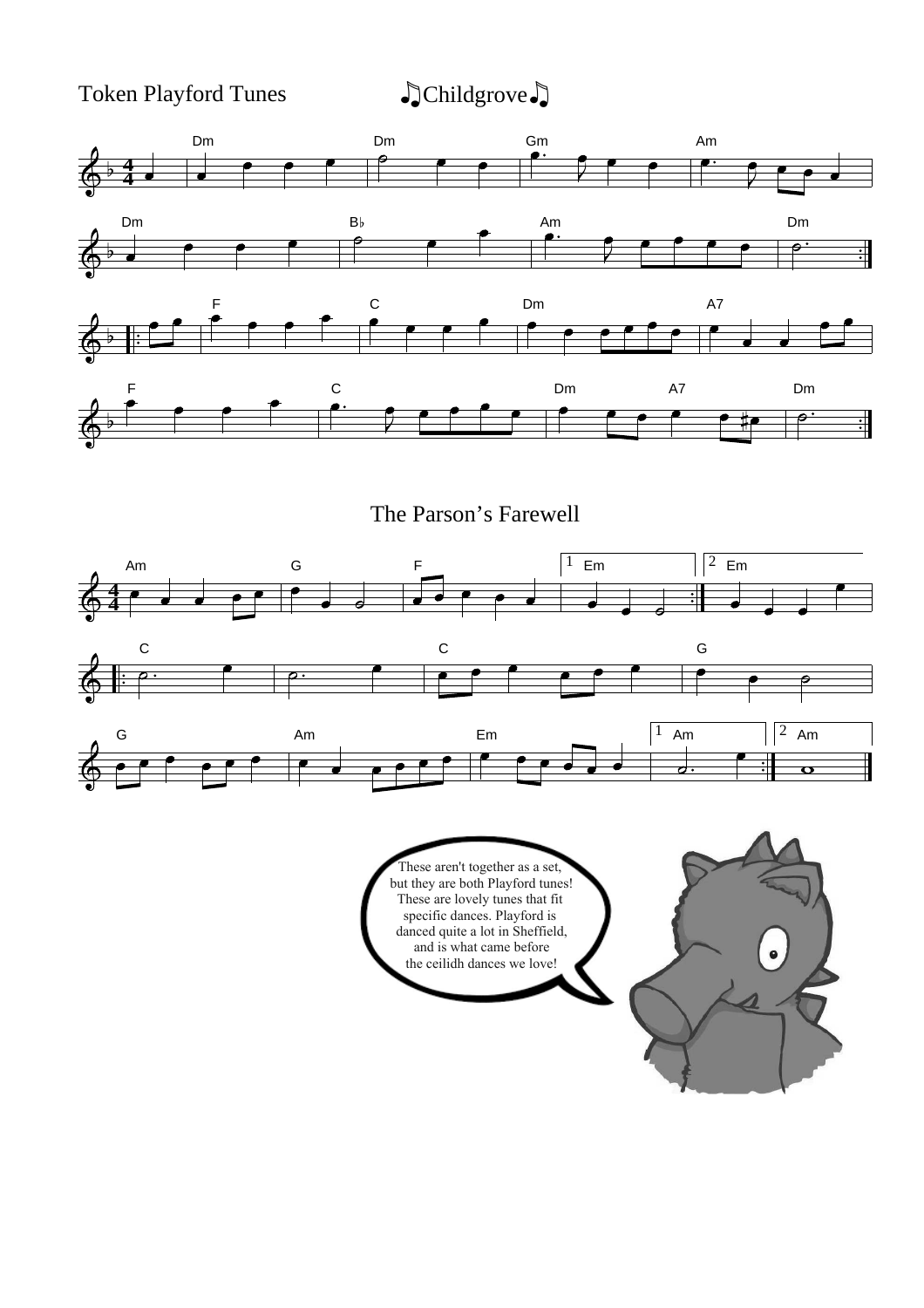Token Playford Tunes  $\qquad \qquad \bullet$  Childgrove



The Parson's Farewell